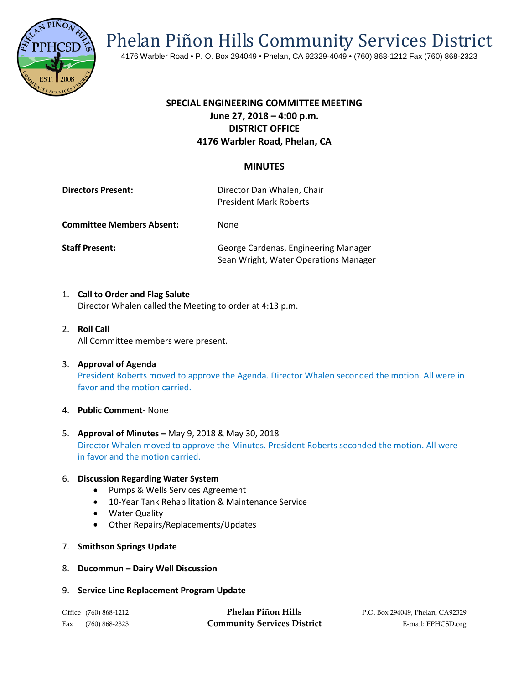

Phelan Piñon Hills Community Services District

4176 Warbler Road • P. O. Box 294049 • Phelan, CA 92329-4049 • (760) 868-1212 Fax (760) 868-2323

# **SPECIAL ENGINEERING COMMITTEE MEETING June 27, 2018 – 4:00 p.m. DISTRICT OFFICE 4176 Warbler Road, Phelan, CA**

## **MINUTES**

| <b>Directors Present:</b>        | Director Dan Whalen, Chair<br><b>President Mark Roberts</b> |
|----------------------------------|-------------------------------------------------------------|
| <b>Committee Members Absent:</b> | None.                                                       |

**Staff Present:** George Cardenas, Engineering Manager Sean Wright, Water Operations Manager

- 1. **Call to Order and Flag Salute** Director Whalen called the Meeting to order at 4:13 p.m.
- 2. **Roll Call** All Committee members were present.
- 3. **Approval of Agenda** President Roberts moved to approve the Agenda. Director Whalen seconded the motion. All were in favor and the motion carried.
- 4. **Public Comment** None
- 5. **Approval of Minutes –** May 9, 2018 & May 30, 2018 Director Whalen moved to approve the Minutes. President Roberts seconded the motion. All were in favor and the motion carried.

#### 6. **Discussion Regarding Water System**

- Pumps & Wells Services Agreement
- 10-Year Tank Rehabilitation & Maintenance Service
- Water Quality
- Other Repairs/Replacements/Updates
- 7. **Smithson Springs Update**
- 8. **Ducommun – Dairy Well Discussion**

#### 9. **Service Line Replacement Program Update**